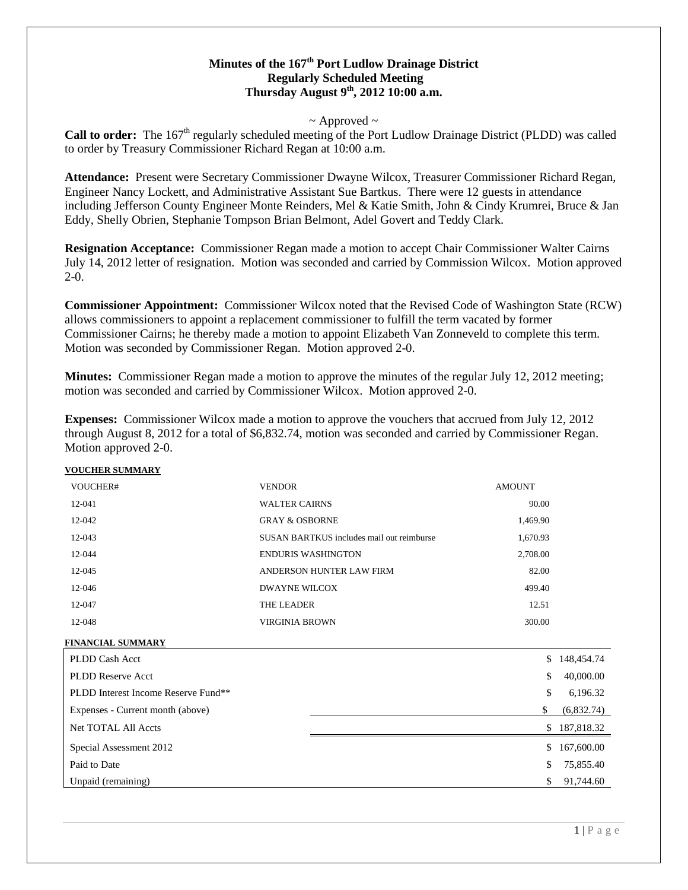# **Minutes of the 167th Port Ludlow Drainage District Regularly Scheduled Meeting Thursday August 9th, 2012 10:00 a.m.**

### $\sim$  Approved  $\sim$

Call to order: The 167<sup>th</sup> regularly scheduled meeting of the Port Ludlow Drainage District (PLDD) was called to order by Treasury Commissioner Richard Regan at 10:00 a.m.

**Attendance:** Present were Secretary Commissioner Dwayne Wilcox, Treasurer Commissioner Richard Regan, Engineer Nancy Lockett, and Administrative Assistant Sue Bartkus. There were 12 guests in attendance including Jefferson County Engineer Monte Reinders, Mel & Katie Smith, John & Cindy Krumrei, Bruce & Jan Eddy, Shelly Obrien, Stephanie Tompson Brian Belmont, Adel Govert and Teddy Clark.

**Resignation Acceptance:** Commissioner Regan made a motion to accept Chair Commissioner Walter Cairns July 14, 2012 letter of resignation. Motion was seconded and carried by Commission Wilcox. Motion approved  $2-0.$ 

**Commissioner Appointment:** Commissioner Wilcox noted that the Revised Code of Washington State (RCW) allows commissioners to appoint a replacement commissioner to fulfill the term vacated by former Commissioner Cairns; he thereby made a motion to appoint Elizabeth Van Zonneveld to complete this term. Motion was seconded by Commissioner Regan. Motion approved 2-0.

**Minutes:** Commissioner Regan made a motion to approve the minutes of the regular July 12, 2012 meeting; motion was seconded and carried by Commissioner Wilcox. Motion approved 2-0.

**Expenses:** Commissioner Wilcox made a motion to approve the vouchers that accrued from July 12, 2012 through August 8, 2012 for a total of \$6,832.74, motion was seconded and carried by Commissioner Regan. Motion approved 2-0.

#### **VOUCHER SUMMARY**

| VOUCHER# | <b>VENDOR</b>                             | <b>AMOUNT</b> |
|----------|-------------------------------------------|---------------|
| $12-041$ | <b>WALTER CAIRNS</b>                      | 90.00         |
| 12-042   | <b>GRAY &amp; OSBORNE</b>                 | 1,469.90      |
| 12-043   | SUSAN BARTKUS includes mail out reimburse | 1,670.93      |
| 12-044   | ENDURIS WASHINGTON                        | 2,708.00      |
| 12-045   | ANDERSON HUNTER LAW FIRM                  | 82.00         |
| 12-046   | DWAYNE WILCOX                             | 499.40        |
| 12-047   | <b>THE LEADER</b>                         | 12.51         |
| 12-048   | VIRGINIA BROWN                            | 300.00        |
|          |                                           |               |

#### **FINANCIAL SUMMARY**

| PLDD Cash Acct                      | \$<br>148,454.74 |
|-------------------------------------|------------------|
| <b>PLDD Reserve Acct</b>            | \$<br>40,000.00  |
| PLDD Interest Income Reserve Fund** | \$<br>6,196.32   |
| Expenses - Current month (above)    | \$<br>(6,832.74) |
| <b>Net TOTAL All Accts</b>          | \$<br>187,818.32 |
| Special Assessment 2012             | \$<br>167,600.00 |
| Paid to Date                        | \$<br>75,855.40  |
| Unpaid (remaining)                  | \$<br>91,744.60  |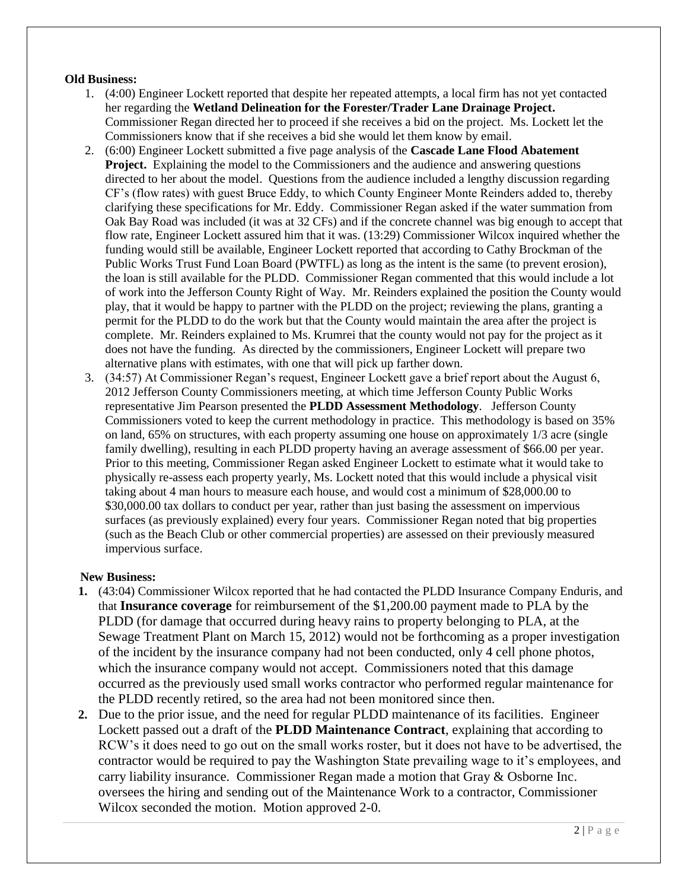## **Old Business:**

- 1. (4:00) Engineer Lockett reported that despite her repeated attempts, a local firm has not yet contacted her regarding the **Wetland Delineation for the Forester/Trader Lane Drainage Project.**  Commissioner Regan directed her to proceed if she receives a bid on the project. Ms. Lockett let the Commissioners know that if she receives a bid she would let them know by email.
- 2. (6:00) Engineer Lockett submitted a five page analysis of the **Cascade Lane Flood Abatement Project.** Explaining the model to the Commissioners and the audience and answering questions directed to her about the model. Questions from the audience included a lengthy discussion regarding CF's (flow rates) with guest Bruce Eddy, to which County Engineer Monte Reinders added to, thereby clarifying these specifications for Mr. Eddy. Commissioner Regan asked if the water summation from Oak Bay Road was included (it was at 32 CFs) and if the concrete channel was big enough to accept that flow rate, Engineer Lockett assured him that it was. (13:29) Commissioner Wilcox inquired whether the funding would still be available, Engineer Lockett reported that according to Cathy Brockman of the Public Works Trust Fund Loan Board (PWTFL) as long as the intent is the same (to prevent erosion), the loan is still available for the PLDD. Commissioner Regan commented that this would include a lot of work into the Jefferson County Right of Way. Mr. Reinders explained the position the County would play, that it would be happy to partner with the PLDD on the project; reviewing the plans, granting a permit for the PLDD to do the work but that the County would maintain the area after the project is complete. Mr. Reinders explained to Ms. Krumrei that the county would not pay for the project as it does not have the funding. As directed by the commissioners, Engineer Lockett will prepare two alternative plans with estimates, with one that will pick up farther down.
- 3. (34:57) At Commissioner Regan's request, Engineer Lockett gave a brief report about the August 6, 2012 Jefferson County Commissioners meeting, at which time Jefferson County Public Works representative Jim Pearson presented the **PLDD Assessment Methodology**. Jefferson County Commissioners voted to keep the current methodology in practice. This methodology is based on 35% on land, 65% on structures, with each property assuming one house on approximately 1/3 acre (single family dwelling), resulting in each PLDD property having an average assessment of \$66.00 per year. Prior to this meeting, Commissioner Regan asked Engineer Lockett to estimate what it would take to physically re-assess each property yearly, Ms. Lockett noted that this would include a physical visit taking about 4 man hours to measure each house, and would cost a minimum of \$28,000.00 to \$30,000.00 tax dollars to conduct per year, rather than just basing the assessment on impervious surfaces (as previously explained) every four years. Commissioner Regan noted that big properties (such as the Beach Club or other commercial properties) are assessed on their previously measured impervious surface.

## **New Business:**

- **1.** (43:04) Commissioner Wilcox reported that he had contacted the PLDD Insurance Company Enduris, and that **Insurance coverage** for reimbursement of the \$1,200.00 payment made to PLA by the PLDD (for damage that occurred during heavy rains to property belonging to PLA, at the Sewage Treatment Plant on March 15, 2012) would not be forthcoming as a proper investigation of the incident by the insurance company had not been conducted, only 4 cell phone photos, which the insurance company would not accept. Commissioners noted that this damage occurred as the previously used small works contractor who performed regular maintenance for the PLDD recently retired, so the area had not been monitored since then.
- **2.** Due to the prior issue, and the need for regular PLDD maintenance of its facilities. Engineer Lockett passed out a draft of the **PLDD Maintenance Contract**, explaining that according to RCW's it does need to go out on the small works roster, but it does not have to be advertised, the contractor would be required to pay the Washington State prevailing wage to it's employees, and carry liability insurance. Commissioner Regan made a motion that Gray & Osborne Inc. oversees the hiring and sending out of the Maintenance Work to a contractor, Commissioner Wilcox seconded the motion. Motion approved 2-0.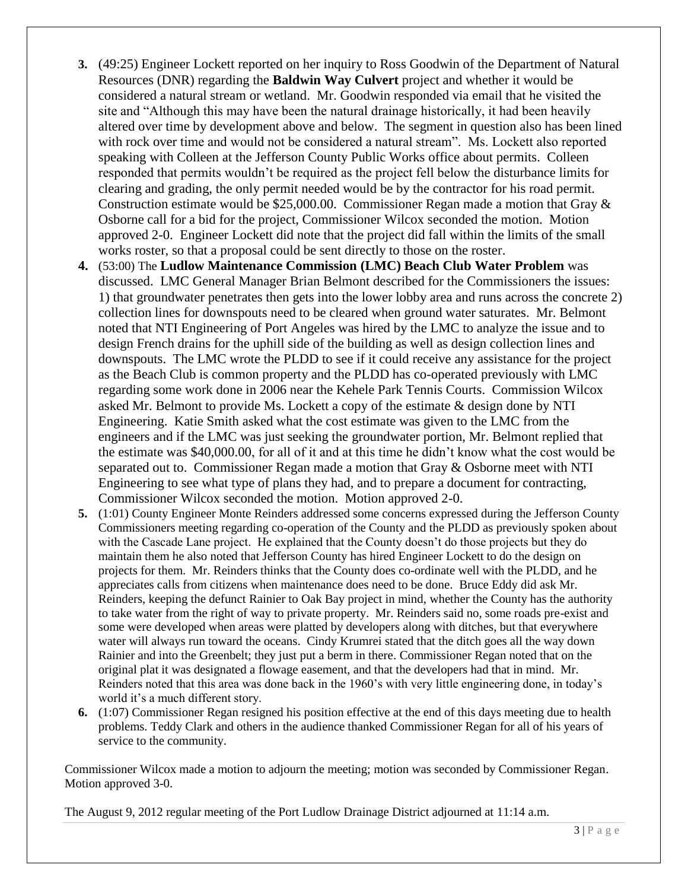- **3.** (49:25) Engineer Lockett reported on her inquiry to Ross Goodwin of the Department of Natural Resources (DNR) regarding the **Baldwin Way Culvert** project and whether it would be considered a natural stream or wetland. Mr. Goodwin responded via email that he visited the site and "Although this may have been the natural drainage historically, it had been heavily altered over time by development above and below. The segment in question also has been lined with rock over time and would not be considered a natural stream". Ms. Lockett also reported speaking with Colleen at the Jefferson County Public Works office about permits. Colleen responded that permits wouldn't be required as the project fell below the disturbance limits for clearing and grading, the only permit needed would be by the contractor for his road permit. Construction estimate would be \$25,000.00. Commissioner Regan made a motion that Gray  $\&$ Osborne call for a bid for the project, Commissioner Wilcox seconded the motion. Motion approved 2-0. Engineer Lockett did note that the project did fall within the limits of the small works roster, so that a proposal could be sent directly to those on the roster.
- **4.** (53:00) The **Ludlow Maintenance Commission (LMC) Beach Club Water Problem** was discussed. LMC General Manager Brian Belmont described for the Commissioners the issues: 1) that groundwater penetrates then gets into the lower lobby area and runs across the concrete 2) collection lines for downspouts need to be cleared when ground water saturates. Mr. Belmont noted that NTI Engineering of Port Angeles was hired by the LMC to analyze the issue and to design French drains for the uphill side of the building as well as design collection lines and downspouts. The LMC wrote the PLDD to see if it could receive any assistance for the project as the Beach Club is common property and the PLDD has co-operated previously with LMC regarding some work done in 2006 near the Kehele Park Tennis Courts. Commission Wilcox asked Mr. Belmont to provide Ms. Lockett a copy of the estimate & design done by NTI Engineering. Katie Smith asked what the cost estimate was given to the LMC from the engineers and if the LMC was just seeking the groundwater portion, Mr. Belmont replied that the estimate was \$40,000.00, for all of it and at this time he didn't know what the cost would be separated out to. Commissioner Regan made a motion that Gray & Osborne meet with NTI Engineering to see what type of plans they had, and to prepare a document for contracting, Commissioner Wilcox seconded the motion. Motion approved 2-0.
- **5.** (1:01) County Engineer Monte Reinders addressed some concerns expressed during the Jefferson County Commissioners meeting regarding co-operation of the County and the PLDD as previously spoken about with the Cascade Lane project. He explained that the County doesn't do those projects but they do maintain them he also noted that Jefferson County has hired Engineer Lockett to do the design on projects for them. Mr. Reinders thinks that the County does co-ordinate well with the PLDD, and he appreciates calls from citizens when maintenance does need to be done. Bruce Eddy did ask Mr. Reinders, keeping the defunct Rainier to Oak Bay project in mind, whether the County has the authority to take water from the right of way to private property. Mr. Reinders said no, some roads pre-exist and some were developed when areas were platted by developers along with ditches, but that everywhere water will always run toward the oceans. Cindy Krumrei stated that the ditch goes all the way down Rainier and into the Greenbelt; they just put a berm in there. Commissioner Regan noted that on the original plat it was designated a flowage easement, and that the developers had that in mind. Mr. Reinders noted that this area was done back in the 1960's with very little engineering done, in today's world it's a much different story.
- **6.** (1:07) Commissioner Regan resigned his position effective at the end of this days meeting due to health problems. Teddy Clark and others in the audience thanked Commissioner Regan for all of his years of service to the community.

Commissioner Wilcox made a motion to adjourn the meeting; motion was seconded by Commissioner Regan. Motion approved 3-0.

The August 9, 2012 regular meeting of the Port Ludlow Drainage District adjourned at 11:14 a.m.